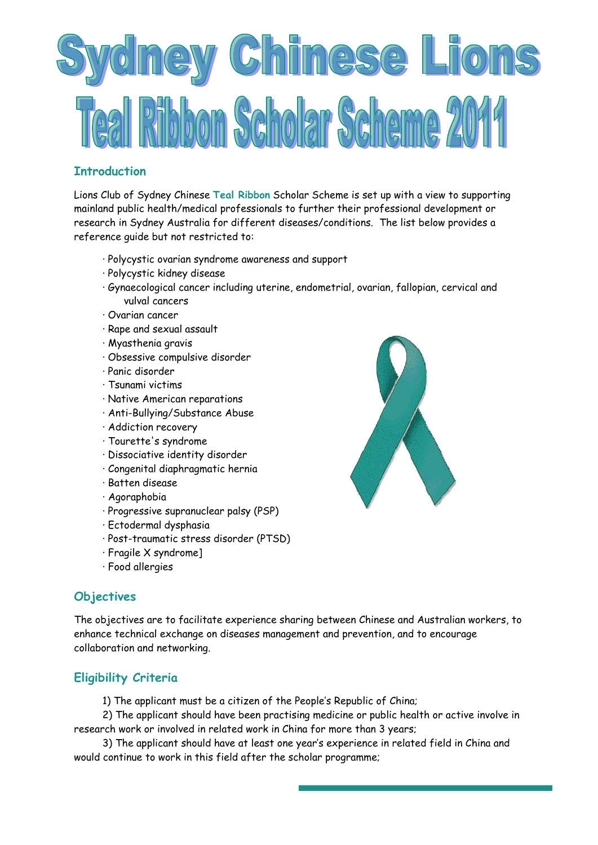

## **Introduction**

Lions Club of Sydney Chinese **Teal Ribbon** Scholar Scheme is set up with a view to supporting mainland public health/medical professionals to further their professional development or research in Sydney Australia for different diseases/conditions. The list below provides a reference guide but not restricted to:

- · Polycystic ovarian syndrome awareness and support
- · Polycystic kidney disease
- · Gynaecological cancer including uterine, endometrial, ovarian, fallopian, cervical and vulval cancers
- · Ovarian cancer
- · Rape and sexual assault
- · Myasthenia gravis
- · Obsessive compulsive disorder
- · Panic disorder
- · Tsunami victims
- · Native American reparations
- · Anti-Bullying/Substance Abuse
- · Addiction recovery
- · Tourette's syndrome
- · Dissociative identity disorder
- · Congenital diaphragmatic hernia
- · Batten disease
- · Agoraphobia
- · Progressive supranuclear palsy (PSP)
- · Ectodermal dysphasia
- · Post-traumatic stress disorder (PTSD)
- · Fragile X syndrome]
- · Food allergies

## **Objectives**

The objectives are to facilitate experience sharing between Chinese and Australian workers, to enhance technical exchange on diseases management and prevention, and to encourage collaboration and networking.

## **Eligibility Criteria**

1) The applicant must be a citizen of the People's Republic of China;

2) The applicant should have been practising medicine or public health or active involve in research work or involved in related work in China for more than 3 years;

3) The applicant should have at least one year's experience in related field in China and would continue to work in this field after the scholar programme;

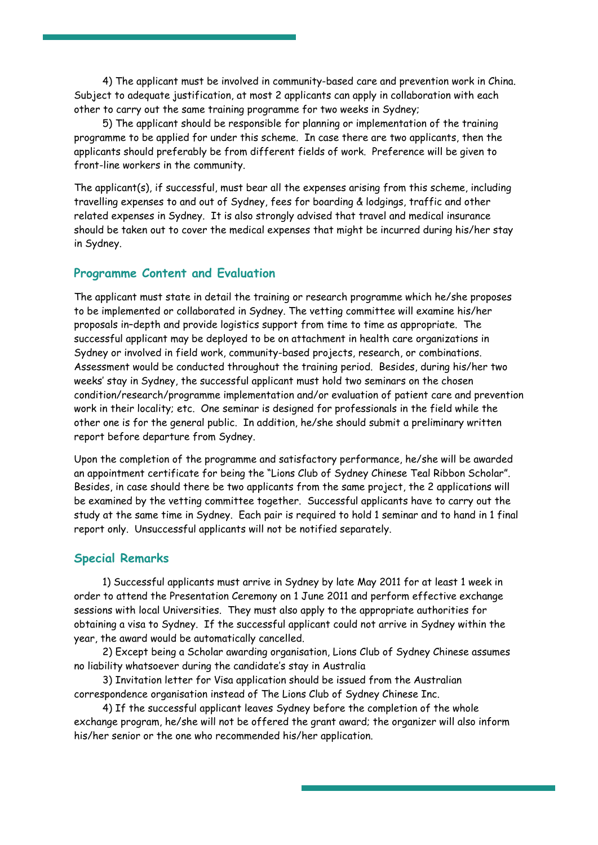4) The applicant must be involved in community-based care and prevention work in China. Subject to adequate justification, at most 2 applicants can apply in collaboration with each other to carry out the same training programme for two weeks in Sydney;

5) The applicant should be responsible for planning or implementation of the training programme to be applied for under this scheme. In case there are two applicants, then the applicants should preferably be from different fields of work. Preference will be given to front-line workers in the community.

The applicant(s), if successful, must bear all the expenses arising from this scheme, including travelling expenses to and out of Sydney, fees for boarding & lodgings, traffic and other related expenses in Sydney. It is also strongly advised that travel and medical insurance should be taken out to cover the medical expenses that might be incurred during his/her stay in Sydney.

#### **Programme Content and Evaluation**

The applicant must state in detail the training or research programme which he/she proposes to be implemented or collaborated in Sydney. The vetting committee will examine his/her proposals in–depth and provide logistics support from time to time as appropriate. The successful applicant may be deployed to be on attachment in health care organizations in Sydney or involved in field work, community-based projects, research, or combinations. Assessment would be conducted throughout the training period. Besides, during his/her two weeks' stay in Sydney, the successful applicant must hold two seminars on the chosen condition/research/programme implementation and/or evaluation of patient care and prevention work in their locality; etc. One seminar is designed for professionals in the field while the other one is for the general public. In addition, he/she should submit a preliminary written report before departure from Sydney.

Upon the completion of the programme and satisfactory performance, he/she will be awarded an appointment certificate for being the "Lions Club of Sydney Chinese Teal Ribbon Scholar". Besides, in case should there be two applicants from the same project, the 2 applications will be examined by the vetting committee together. Successful applicants have to carry out the study at the same time in Sydney. Each pair is required to hold 1 seminar and to hand in 1 final report only. Unsuccessful applicants will not be notified separately.

#### **Special Remarks**

1) Successful applicants must arrive in Sydney by late May 2011 for at least 1 week in order to attend the Presentation Ceremony on 1 June 2011 and perform effective exchange sessions with local Universities. They must also apply to the appropriate authorities for obtaining a visa to Sydney. If the successful applicant could not arrive in Sydney within the year, the award would be automatically cancelled.

2) Except being a Scholar awarding organisation, Lions Club of Sydney Chinese assumes no liability whatsoever during the candidate's stay in Australia

3) Invitation letter for Visa application should be issued from the Australian correspondence organisation instead of The Lions Club of Sydney Chinese Inc.

4) If the successful applicant leaves Sydney before the completion of the whole exchange program, he/she will not be offered the grant award; the organizer will also inform his/her senior or the one who recommended his/her application.